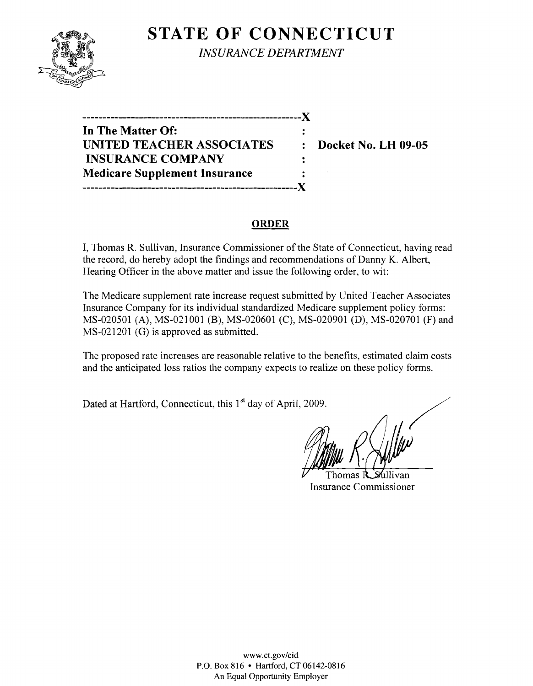

**STATE OF CONNECTICUT** *INSURANCE DEPARTMENT* 

...................................................... **X In The Matter Of: UNITED TEACHER ASSOCIATES** : **Docket No. LH 09-05 INSURANCE COMPANY Medicare Supplement Insurance**  ------------------------X

### **ORDER**

 $\ddot{\cdot}$ 

 $\sim$   $\sim$ 

I, Thomas R. Sullivan, Insurance Commissioner of the State of Connecticut, having read the record, do hereby adopt the findings and recommendations of Danny K. Albert, Hearing Officer in the above matter and issue the following order, to wit:

The Medicare supplement rate increase request submitted by United Teacher Associates Insurance Company for its individual standardized Medicare supplement policy forms: MS-020501 (A), MS-02 1001 (B), MS-020601 (C), MS-020901 (D), MS-020701 (F) and MS-021201 (G) is approved as submitted.

The proposed rate increases are reasonable relative to the benefits, estimated claim costs and the anticipated loss ratios the company expects to realize on these policy forms. The proposed rate increases are reasonable relative to the benefits, estimated claim costs<br>and the anticipated loss ratios the company expects to realize on these policy forms.<br>Dated at Hartford, Connecticut, this  $1<sup>st</sup>$ 

'homas I Insurance Commissioner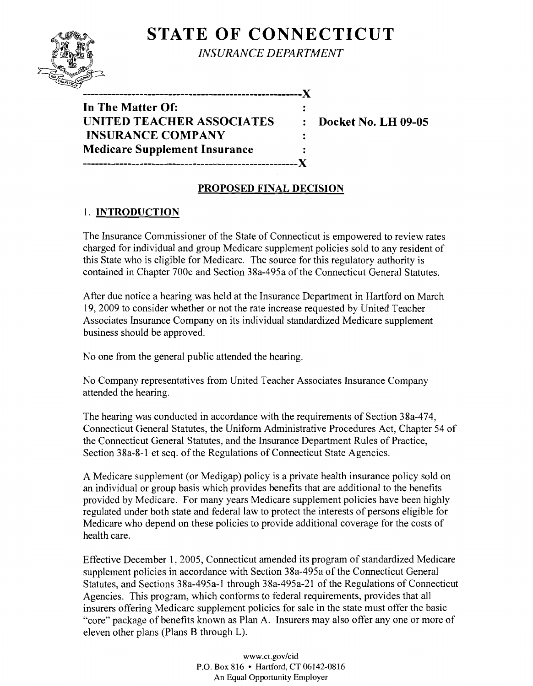# **STATE OF CONNECTICUT**



*INSURANCE DEPARTMENT* 

**In The Matter Of: UNITED TEACHER ASSOCIATES** : **Docket No. LH 09-05 INSURANCE COMPANY Medicare Supplement Insurance**  ..................................................... **X** 

# **PROPOSED FINAL DECISION**

 $\ddot{\cdot}$ 

## 1. **INTRODUCTION**

The Insurance Commissioner of the State of Connecticut is empowered to review rates charged for individual and group Medicare supplement policies sold to any resident of this State who is eligible for Medicare. The source for this regulatory authority is contained in Chapter 700c and Section 38a-495a of the Connecticut General Statutes.

After due notice a hearing was held at the Insurance Department in Hartford on March 19,2009 to consider whether or not the rate increase requested by United Teacher Associates Insurance Company on its individual standardized Medicare supplement business should be approved.

No one from the general public attended the hearing.

No Company representatives from United Teacher Associates Insurance Company attended the hearing.

The hearing was conducted in accordance with the requirements of Section 38a-474, Connecticut General Statutes, the Uniform Administrative Procedures Act, Chapter 54 of the Connecticut General Statutes, and the Insurance Department Rules of Practice, Section 38a-8-1 et seq. of the Regulations of Connecticut State Agencies.

A Medicare supplement (or Medigap) policy is a private health insurance policy sold on an individual or group basis which provides benefits that are additional to the benefits provided by Medicare. For many years Medicare supplement policies have been highly regulated under both state and federal law to protect the interests of persons eligible for Medicare who depend on these policies to provide additional coverage for the costs of health care.

Effective December 1,2005, Connecticut amended its program of standardized Medicare supplement policies in accordance with Section 38a-495a of the Connecticut General Statutes, and Sections 38a-495a-1 through 38a-495a-21 of the Regulations of Connecticut Agencies. This program, which conforms to federal requirements, provides that all insurers offering Medicare supplement policies for sale in the state must offer the basic "core" package of benefits known as Plan A. Insurers may also offer any one or more of eleven other plans (Plans B through L).

> www.ct.gov/cid P.O. Box 816 • Hartford, CT 06142-0816 An Equal Opportunity Employer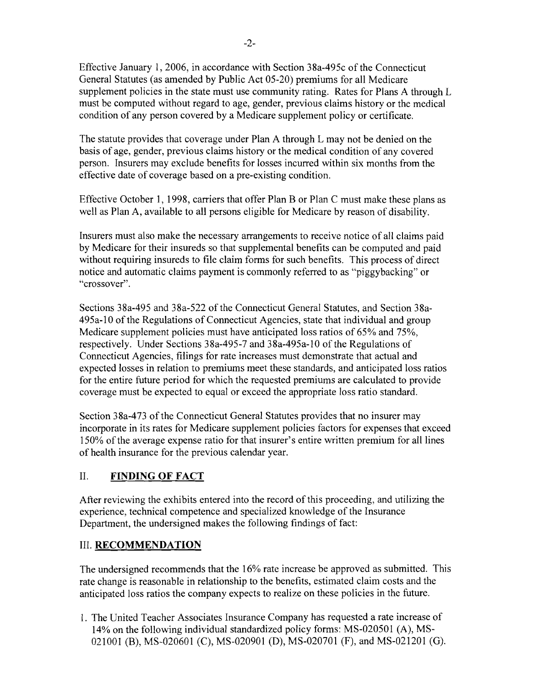Effective January 1,2006, in accordance with Section 38a-495c of the Connecticut General Statutes (as amended by Public Act 05-20) premiums for all Medicare supplement policies in the state must use community rating. Rates for Plans A through L must be computed without regard to age, gender, previous claims history or the medical condition of any person covered by a Medicare supplement policy or certificate.

The statute provides that coverage under Plan A through L may not be denied on the basis of age, gender, previous claims history or the medical condition of any covered person. Insurers may exclude benefits for losses incurred within six months from the effective date of coverage based on a pre-existing condition.

Effective October 1, 1998, carriers that offer Plan B or Plan C must make these plans as well as Plan A, available to all persons eligible for Medicare by reason of disability.

Insurers must also make the necessary arrangements to receive notice of all claims paid by Medicare for their insureds so that supplemental benefits can be computed and paid without requiring insureds to file claim forms for such benefits. This process of direct notice and automatic claims payment is commonly referred to as "piggybacking" or "crossover".

Sections 38a-495 and 38a-522 of the Connecticut General Statutes, and Section 38a-495a-10 of the Regulations of Connecticut Agencies, state that individual and group Medicare supplement policies must have anticipated loss ratios of 65% and 75%. respectively. Under Sections 38a-495-7 and 38a-495a-10 of the Regulations of Connecticut Agencies, filings for rate increases must demonstrate that actual and expected losses in relation to premiums meet these standards, and anticipated loss ratios for the entire future period for which the requested premiums are calculated to provide coverage must be expected to equal or exceed the appropriate loss ratio standard.

Section 38a-473 of the Connecticut General Statutes provides that no insurer may incorporate in its rates for Medicare supplement policies factors for expenses that exceed 150% of the average expense ratio for that insurer's entire written premium for all lines of health insurance for the previous calendar year.

# 11. **FINDING OF FACT**

After reviewing the exhibits entered into the record of this proceeding, and utilizing the experience, technical competence and specialized knowledge of the Insurance Department, the undersigned makes the following findings of fact:

### **III. RECOMMENDATION**

The undersigned recommends that the 16% rate increase be approved as submitted. This rate change is reasonable in relationship to the benefits, estimated claim costs and the anticipated loss ratios the company expects to realize on these policies in the future.

1. The United Teacher Associates Insurance Company has requested a rate increase of 14% on the following individual standardized policy forms: MS-020501 (A), MS-021001 (B), MS-020601 (C), MS-020901 (D), MS-020701 (F), and MS-021201 (G).